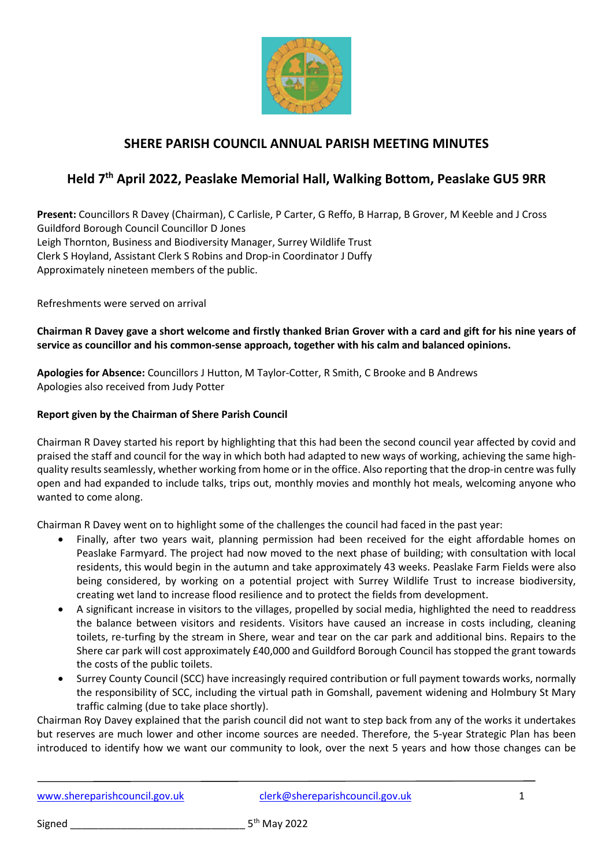

## **SHERE PARISH COUNCIL ANNUAL PARISH MEETING MINUTES**

# **Held 7 th April 2022, Peaslake Memorial Hall, Walking Bottom, Peaslake GU5 9RR**

**Present:** Councillors R Davey (Chairman), C Carlisle, P Carter, G Reffo, B Harrap, B Grover, M Keeble and J Cross Guildford Borough Council Councillor D Jones Leigh Thornton, Business and Biodiversity Manager, Surrey Wildlife Trust Clerk S Hoyland, Assistant Clerk S Robins and Drop-in Coordinator J Duffy Approximately nineteen members of the public.

Refreshments were served on arrival

**Chairman R Davey gave a short welcome and firstly thanked Brian Grover with a card and gift for his nine years of service as councillor and his common-sense approach, together with his calm and balanced opinions.** 

**Apologies for Absence:** Councillors J Hutton, M Taylor-Cotter, R Smith, C Brooke and B Andrews Apologies also received from Judy Potter

#### **Report given by the Chairman of Shere Parish Council**

Chairman R Davey started his report by highlighting that this had been the second council year affected by covid and praised the staff and council for the way in which both had adapted to new ways of working, achieving the same highquality results seamlessly, whether working from home or in the office. Also reporting that the drop-in centre was fully open and had expanded to include talks, trips out, monthly movies and monthly hot meals, welcoming anyone who wanted to come along.

Chairman R Davey went on to highlight some of the challenges the council had faced in the past year:

- Finally, after two years wait, planning permission had been received for the eight affordable homes on Peaslake Farmyard. The project had now moved to the next phase of building; with consultation with local residents, this would begin in the autumn and take approximately 43 weeks. Peaslake Farm Fields were also being considered, by working on a potential project with Surrey Wildlife Trust to increase biodiversity, creating wet land to increase flood resilience and to protect the fields from development.
- A significant increase in visitors to the villages, propelled by social media, highlighted the need to readdress the balance between visitors and residents. Visitors have caused an increase in costs including, cleaning toilets, re-turfing by the stream in Shere, wear and tear on the car park and additional bins. Repairs to the Shere car park will cost approximately £40,000 and Guildford Borough Council has stopped the grant towards the costs of the public toilets.
- Surrey County Council (SCC) have increasingly required contribution or full payment towards works, normally the responsibility of SCC, including the virtual path in Gomshall, pavement widening and Holmbury St Mary traffic calming (due to take place shortly).

Chairman Roy Davey explained that the parish council did not want to step back from any of the works it undertakes but reserves are much lower and other income sources are needed. Therefore, the 5-year Strategic Plan has been introduced to identify how we want our community to look, over the next 5 years and how those changes can be